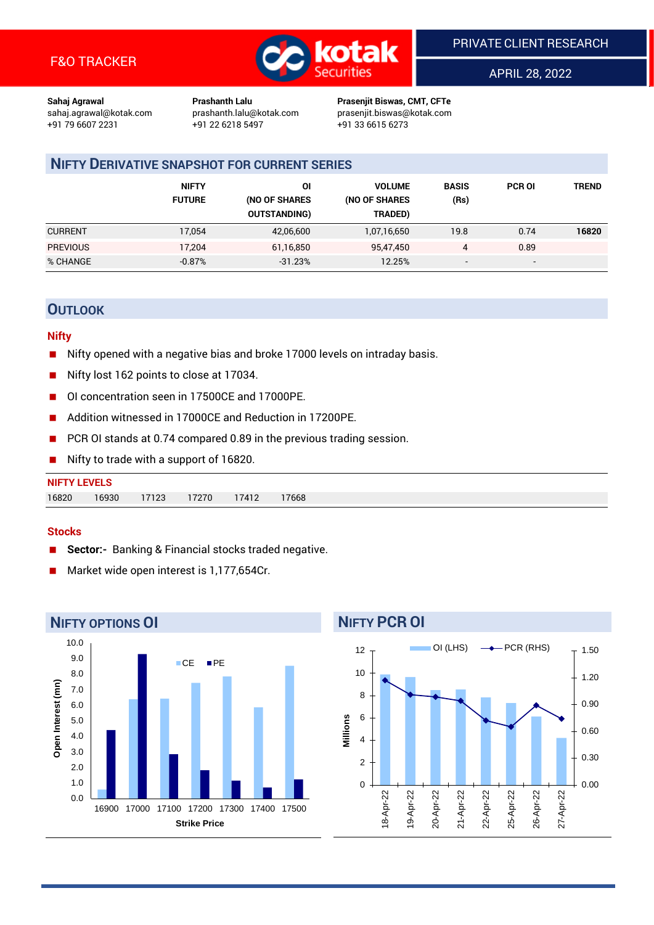

APRIL 28, 2022

**Sahaj Agrawal Prashanth Lalu Prasenjit Biswas, CMT, CFTe** +91 22 6218 5497 +91 33 6615 6273

sahaj.agrawal@kotak.com [prashanth.lalu@kotak.com](mailto:prashanth.lalu@kotak.com) prasenjit.biswas@kotak.com

# **NIFTY DERIVATIVE SNAPSHOT FOR CURRENT SERIES**

|                 | <b>NIFTY</b><br><b>FUTURE</b> | ΟI<br>(NO OF SHARES<br><b>OUTSTANDING)</b> | <b>VOLUME</b><br>(NO OF SHARES<br>TRADED) | <b>BASIS</b><br>(Rs)     | <b>PCR OI</b>            | TREND |
|-----------------|-------------------------------|--------------------------------------------|-------------------------------------------|--------------------------|--------------------------|-------|
| <b>CURRENT</b>  | 17.054                        | 42,06,600                                  | 1,07,16,650                               | 19.8                     | 0.74                     | 16820 |
| <b>PREVIOUS</b> | 17.204                        | 61,16,850                                  | 95,47,450                                 | 4                        | 0.89                     |       |
| % CHANGE        | $-0.87%$                      | $-31.23%$                                  | 12.25%                                    | $\overline{\phantom{a}}$ | $\overline{\phantom{0}}$ |       |

## **OUTLOOK**

#### **Nifty**

- Nifty opened with a negative bias and broke 17000 levels on intraday basis.
- Nifty lost 162 points to close at 17034.
- OI concentration seen in 17500CE and 17000PE.
- Addition witnessed in 17000CE and Reduction in 17200PE.
- PCR OI stands at 0.74 compared 0.89 in the previous trading session.
- Nifty to trade with a support of 16820.

| <b>NIFTY LEVELS</b> |       |       |       |       |      |  |  |  |
|---------------------|-------|-------|-------|-------|------|--|--|--|
| 16820               | 16930 | 17123 | 17270 | 17412 | 7668 |  |  |  |

#### **Stocks**

- **Sector:-** Banking & Financial stocks traded negative.
- Market wide open interest is 1,177,654Cr.



# **NIFTY PCR OI**

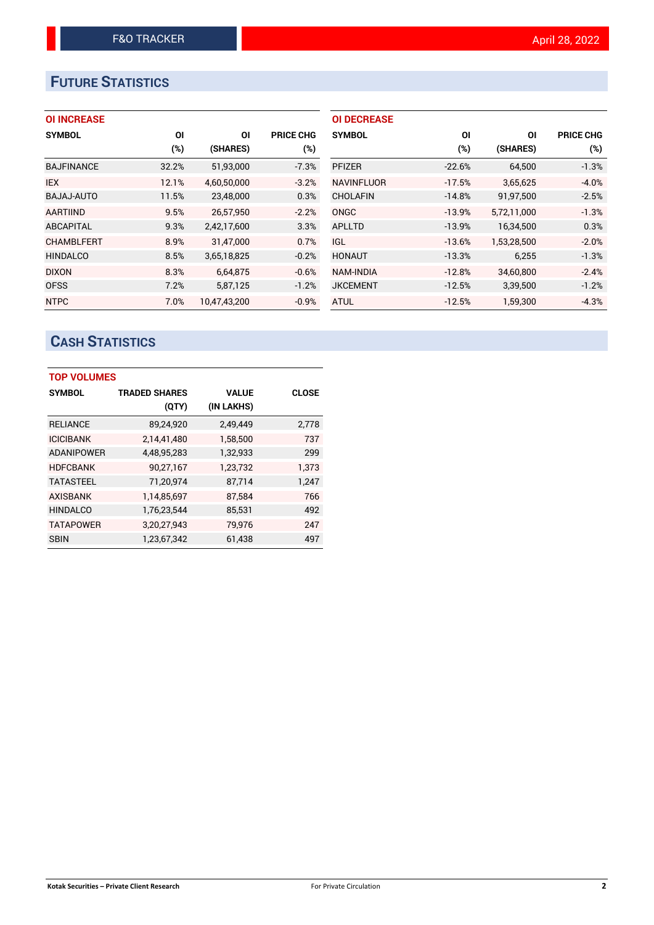# **FUTURE STATISTICS**

| <b>OI INCREASE</b> |
|--------------------|
|--------------------|

| <b>SYMBOL</b>     | ΟI     | ΟI           | <b>PRICE CHG</b> |
|-------------------|--------|--------------|------------------|
|                   | $(\%)$ | (SHARES)     | $(\%)$           |
| <b>BAJFINANCE</b> | 32.2%  | 51,93,000    | $-7.3%$          |
| <b>IEX</b>        | 12.1%  | 4,60,50,000  | $-3.2%$          |
| <b>BAJAJ-AUTO</b> | 11.5%  | 23,48,000    | 0.3%             |
| <b>AARTIIND</b>   | 9.5%   | 26.57.950    | $-2.2%$          |
| <b>ABCAPITAL</b>  | 9.3%   | 2,42,17,600  | 3.3%             |
| <b>CHAMBLFERT</b> | 8.9%   | 31.47.000    | 0.7%             |
| <b>HINDALCO</b>   | 8.5%   | 3,65,18,825  | $-0.2%$          |
| <b>DIXON</b>      | 8.3%   | 6,64,875     | $-0.6%$          |
| <b>OFSS</b>       | 7.2%   | 5,87,125     | $-1.2%$          |
| <b>NTPC</b>       | 7.0%   | 10.47.43.200 | $-0.9%$          |

| <b>OI DECREASE</b> |          |             |                  |
|--------------------|----------|-------------|------------------|
| <b>SYMBOL</b>      | ΟI       | ΟI          | <b>PRICE CHG</b> |
|                    | $(\%)$   | (SHARES)    | (%)              |
| <b>PFIZER</b>      | $-22.6%$ | 64,500      | $-1.3%$          |
| <b>NAVINFLUOR</b>  | $-17.5%$ | 3,65,625    | $-4.0%$          |
| <b>CHOLAFIN</b>    | $-14.8%$ | 91,97,500   | $-2.5%$          |
| <b>ONGC</b>        | $-13.9%$ | 5,72,11,000 | $-1.3%$          |
| <b>APLLTD</b>      | $-13.9%$ | 16,34,500   | 0.3%             |
| <b>IGL</b>         | $-13.6%$ | 1,53,28,500 | $-2.0%$          |
| <b>HONAUT</b>      | $-13.3%$ | 6,255       | $-1.3%$          |
| <b>NAM-INDIA</b>   | $-12.8%$ | 34,60,800   | $-2.4%$          |
| <b>JKCEMENT</b>    | $-12.5%$ | 3,39,500    | $-1.2%$          |
| <b>ATUL</b>        | $-12.5%$ | 1,59,300    | $-4.3%$          |

# **CASH STATISTICS**

| <b>TOP VOLUMES</b> |                      |              |              |  |  |  |  |
|--------------------|----------------------|--------------|--------------|--|--|--|--|
| <b>SYMBOL</b>      | <b>TRADED SHARES</b> | <b>VALUE</b> | <b>CLOSE</b> |  |  |  |  |
|                    | (QTY)                | (IN LAKHS)   |              |  |  |  |  |
| <b>RELIANCE</b>    | 89,24,920            | 2,49,449     | 2,778        |  |  |  |  |
| <b>ICICIBANK</b>   | 2,14,41,480          | 1,58,500     | 737          |  |  |  |  |
| <b>ADANIPOWER</b>  | 4,48,95,283          | 1,32,933     | 299          |  |  |  |  |
| <b>HDFCBANK</b>    | 90,27,167            | 1,23,732     | 1.373        |  |  |  |  |
| <b>TATASTEEL</b>   | 71,20,974            | 87,714       | 1,247        |  |  |  |  |
| <b>AXISBANK</b>    | 1,14,85,697          | 87,584       | 766          |  |  |  |  |
| <b>HINDALCO</b>    | 1,76,23,544          | 85,531       | 492          |  |  |  |  |
| <b>TATAPOWER</b>   | 3,20,27,943          | 79,976       | 247          |  |  |  |  |
| <b>SBIN</b>        | 1,23,67,342          | 61,438       | 497          |  |  |  |  |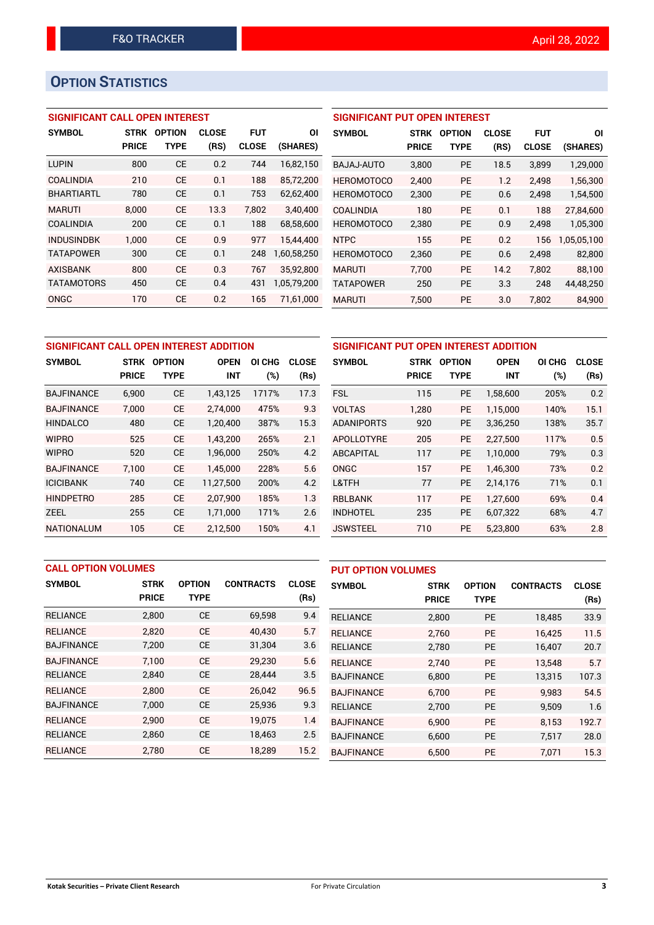# **OPTION STATISTICS**

### **SIGNIFICANT CALL OPEN INTEREST**

| <b>SYMBOL</b>     | <b>STRK</b>  | <b>OPTION</b> | <b>CLOSE</b> | <b>FUT</b>   | ΟI          |
|-------------------|--------------|---------------|--------------|--------------|-------------|
|                   | <b>PRICE</b> | <b>TYPE</b>   | (RS)         | <b>CLOSE</b> | (SHARES)    |
| <b>LUPIN</b>      | 800          | <b>CE</b>     | 0.2          | 744          | 16,82,150   |
| <b>COALINDIA</b>  | 210          | CE            | 0.1          | 188          | 85,72,200   |
| <b>BHARTIARTL</b> | 780          | CЕ            | 0.1          | 753          | 62,62,400   |
| <b>MARUTI</b>     | 8.000        | CF            | 13.3         | 7.802        | 3.40.400    |
| <b>COALINDIA</b>  | 200          | СE            | 0.1          | 188          | 68,58,600   |
| <b>INDUSINDBK</b> | 1.000        | CE            | 0.9          | 977          | 15.44.400   |
| <b>TATAPOWER</b>  | 300          | <b>CE</b>     | 0.1          | 248          | 1,60,58,250 |
| <b>AXISBANK</b>   | 800          | CE            | 0.3          | 767          | 35,92,800   |
| <b>TATAMOTORS</b> | 450          | СE            | 0.4          | 431          | 1,05,79,200 |
| ONGC              | 170          | <b>CE</b>     | 0.2          | 165          | 71,61,000   |

## **SIGNIFICANT PUT OPEN INTEREST SYMBOL STRK OPTION CLOSE FUT OI PRICE TYPE (RS) CLOSE (SHARES)** BAJAJ-AUTO 3,800 PE 18.5 3,899 1,29,000 HEROMOTOCO 2,400 PE 1.2 2,498 1,56,300 HEROMOTOCO 2,300 PE 0.6 2,498 1,54,500 COALINDIA 180 PE 0.1 188 27,84,600 HEROMOTOCO 2,380 PE 0.9 2,498 1,05,300 NTPC 155 PE 0.2 156 1,05,05,100 HEROMOTOCO 2,360 PE 0.6 2,498 82,800 MARUTI 7,700 PE 14.2 7,802 88,100 TATAPOWER 250 PE 3.3 248 44,48,250

MARUTI 7,500 PE 3.0 7,802 84,900

| SIGNIFICANT CALL OPEN INTEREST ADDITION |              |               |             |        |              |                  |  |  |
|-----------------------------------------|--------------|---------------|-------------|--------|--------------|------------------|--|--|
| <b>SYMBOL</b>                           | <b>STRK</b>  | <b>OPTION</b> | <b>OPEN</b> | OI CHG | <b>CLOSE</b> | <b>SYMBOL</b>    |  |  |
|                                         | <b>PRICE</b> | <b>TYPE</b>   | <b>INT</b>  | (%)    | (Rs)         |                  |  |  |
| <b>BAJFINANCE</b>                       | 6,900        | <b>CE</b>     | 1,43,125    | 1717%  | 17.3         | <b>FSL</b>       |  |  |
| <b>BAJFINANCE</b>                       | 7.000        | <b>CE</b>     | 2.74.000    | 475%   | 9.3          | <b>VOLTAS</b>    |  |  |
| <b>HINDALCO</b>                         | 480          | <b>CE</b>     | 1,20,400    | 387%   | 15.3         | <b>ADANIPORT</b> |  |  |
| <b>WIPRO</b>                            | 525          | <b>CE</b>     | 1,43,200    | 265%   | 2.1          | APOLLOTYR        |  |  |
| <b>WIPRO</b>                            | 520          | <b>CE</b>     | 1,96,000    | 250%   | 4.2          | <b>ABCAPITAL</b> |  |  |
| <b>BAJFINANCE</b>                       | 7,100        | <b>CE</b>     | 1.45.000    | 228%   | 5.6          | ONGC             |  |  |
| <b>ICICIBANK</b>                        | 740          | <b>CE</b>     | 11,27,500   | 200%   | 4.2          | L&TFH            |  |  |
| <b>HINDPETRO</b>                        | 285          | <b>CE</b>     | 2.07.900    | 185%   | 1.3          | <b>RBLBANK</b>   |  |  |
| ZEEL                                    | 255          | <b>CE</b>     | 1,71,000    | 171%   | 2.6          | <b>INDHOTEL</b>  |  |  |
| <b>NATIONALUM</b>                       | 105          | <b>CE</b>     | 2.12.500    | 150%   | 4.1          | <b>JSWSTEEL</b>  |  |  |

| SIGNIFICANT PUT OPEN INTEREST ADDITION |              |               |             |        |              |  |  |  |  |
|----------------------------------------|--------------|---------------|-------------|--------|--------------|--|--|--|--|
| <b>SYMBOL</b>                          | <b>STRK</b>  | <b>OPTION</b> | <b>OPEN</b> | OI CHG | <b>CLOSE</b> |  |  |  |  |
|                                        | <b>PRICE</b> | <b>TYPE</b>   | <b>INT</b>  | $(\%)$ | (Rs)         |  |  |  |  |
| <b>FSL</b>                             | 115          | <b>PE</b>     | 1,58,600    | 205%   | 0.2          |  |  |  |  |
| <b>VOLTAS</b>                          | 1,280        | <b>PE</b>     | 1,15,000    | 140%   | 15.1         |  |  |  |  |
| <b>ADANIPORTS</b>                      | 920          | <b>PE</b>     | 3,36,250    | 138%   | 35.7         |  |  |  |  |
| <b>APOLLOTYRE</b>                      | 205          | <b>PE</b>     | 2,27,500    | 117%   | 0.5          |  |  |  |  |
| <b>ABCAPITAL</b>                       | 117          | <b>PE</b>     | 1,10,000    | 79%    | 0.3          |  |  |  |  |
| ONGC                                   | 157          | <b>PE</b>     | 1,46,300    | 73%    | 0.2          |  |  |  |  |
| L&TFH                                  | 77           | <b>PE</b>     | 2,14,176    | 71%    | 0.1          |  |  |  |  |
| <b>RBLBANK</b>                         | 117          | <b>PE</b>     | 1,27,600    | 69%    | 0.4          |  |  |  |  |
| <b>INDHOTEL</b>                        | 235          | <b>PE</b>     | 6,07,322    | 68%    | 4.7          |  |  |  |  |
| <b>JSWSTEEL</b>                        | 710          | PE            | 5,23,800    | 63%    | 2.8          |  |  |  |  |

|                   | <b>CALL OPTION VOLUMES</b> |               |                  |              | <b>PUT OPTION VOLUMES</b> |              |               |                  |              |
|-------------------|----------------------------|---------------|------------------|--------------|---------------------------|--------------|---------------|------------------|--------------|
| <b>SYMBOL</b>     | <b>STRK</b>                | <b>OPTION</b> | <b>CONTRACTS</b> | <b>CLOSE</b> | <b>SYMBOL</b>             | <b>STRK</b>  | <b>OPTION</b> | <b>CONTRACTS</b> | <b>CLOSE</b> |
|                   | <b>PRICE</b>               | <b>TYPE</b>   |                  | (Rs)         |                           | <b>PRICE</b> | <b>TYPE</b>   |                  | (Rs)         |
| <b>RELIANCE</b>   | 2,800                      | <b>CE</b>     | 69,598           | 9.4          | <b>RELIANCE</b>           | 2,800        | <b>PE</b>     | 18.485           | 33.9         |
| <b>RELIANCE</b>   | 2.820                      | <b>CE</b>     | 40.430           | 5.7          | <b>RELIANCE</b>           | 2.760        | <b>PE</b>     | 16.425           | 11.5         |
| <b>BAJFINANCE</b> | 7,200                      | <b>CE</b>     | 31,304           | 3.6          | <b>RELIANCE</b>           | 2,780        | <b>PE</b>     | 16,407           | 20.7         |
| <b>BAJFINANCE</b> | 7.100                      | <b>CE</b>     | 29.230           | 5.6          | <b>RELIANCE</b>           | 2.740        | <b>PE</b>     | 13.548           | 5.7          |
| <b>RELIANCE</b>   | 2,840                      | <b>CE</b>     | 28,444           | 3.5          | <b>BAJFINANCE</b>         | 6,800        | <b>PE</b>     | 13.315           | 107.3        |
| <b>RELIANCE</b>   | 2,800                      | <b>CE</b>     | 26,042           | 96.5         | <b>BAJFINANCE</b>         | 6.700        | <b>PE</b>     | 9.983            | 54.5         |
| <b>BAJFINANCE</b> | 7,000                      | <b>CE</b>     | 25,936           | 9.3          | <b>RELIANCE</b>           | 2,700        | <b>PE</b>     | 9,509            | 1.6          |
| <b>RELIANCE</b>   | 2.900                      | <b>CE</b>     | 19.075           | 1.4          | <b>BAJFINANCE</b>         | 6.900        | <b>PE</b>     | 8.153            | 192.7        |
| <b>RELIANCE</b>   | 2,860                      | <b>CE</b>     | 18,463           | 2.5          | <b>BAJFINANCE</b>         | 6,600        | <b>PE</b>     | 7,517            | 28.0         |
| <b>RELIANCE</b>   | 2.780                      | <b>CE</b>     | 18,289           | 15.2         | <b>BAJFINANCE</b>         | 6,500        | PE            | 7,071            | 15.3         |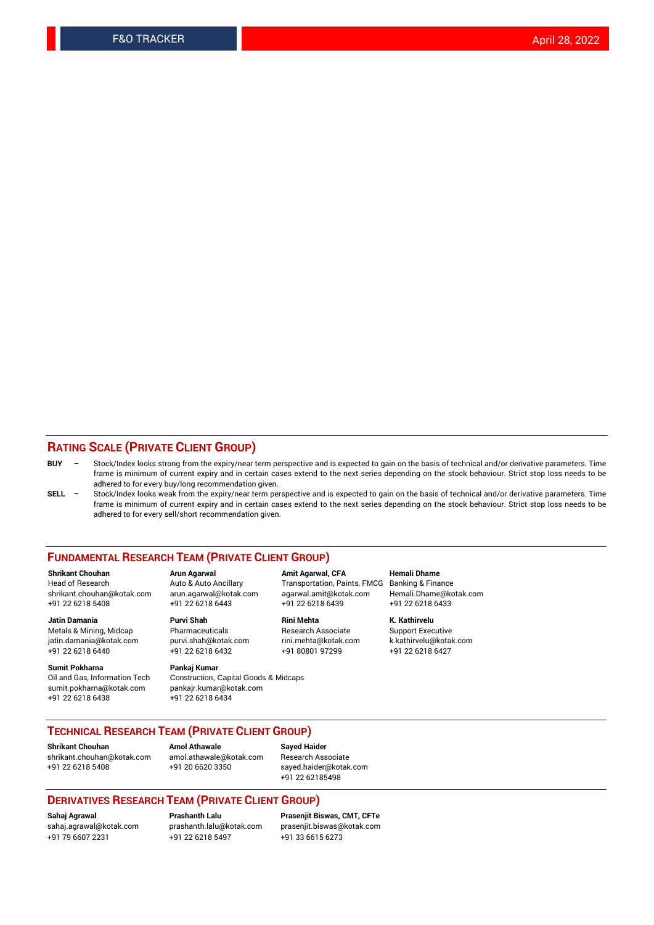#### **RATING SCALE (PRIVATE CLIENT GROUP)**

- **BUY**  Stock/Index looks strong from the expiry/near term perspective and is expected to gain on the basis of technical and/or derivative parameters. Time frame is minimum of current expiry and in certain cases extend to the next series depending on the stock behaviour. Strict stop loss needs to be adhered to for every buy/long recommendation given.
- **SELL** Stock/Index looks weak from the expiry/near term perspective and is expected to gain on the basis of technical and/or derivative parameters. Time frame is minimum of current expiry and in certain cases extend to the next series depending on the stock behaviour. Strict stop loss needs to be adhered to for every sell/short recommendation given.

#### **FUNDAMENTAL RESEARCH TEAM (PRIVATE CLIENT GROUP)**

**Shrikant Chouhan Arun Agarwal Amit Agarwal, CFA Hemali Dhame** shrikant.chouhan@kotak.com arun.agarwal@kotak.com agarwal.amit@kotak.com Hemali.Dhame@kotak.com +91 22 6218 5408 +91 22 6218 6443 +91 22 6218 6439 +91 22 6218 6433

Metals & Mining, Midcap Pharmaceuticals Pharmaceuticals Research Associate Support Executive<br>
iatin.damania@kotak.com purvi.shah@kotak.com rini.mehta@kotak.com k.kathirvelu@kotak.com jatin.damania@kotak.com

**Sumit Pokharna** Pankaj Kumar<br>Oil and Gas, Information Tech Construction, sumit.pokharna@kotak.com pankajr.kumar@kotak.com +91 22 6218 6438 +91 22 6218 6434

Construction, Capital Goods & Midcaps

Transportation, Paints, FMCG

**Jatin Damania Purvi Shah Rini Mehta K. Kathirvelu** +91 22 6218 6440 +91 22 6218 6432 +91 80801 97299 +91 22 6218 6427

### **TECHNICAL RESEARCH TEAM (PRIVATE CLIENT GROUP)**

**Shrikant Chouhan Amol Athawale Sayed Haider** [shrikant.chouhan@kotak.com](mailto:shrikant.chouhan@kotak.com) [amol.athawale@kotak.com](mailto:amol.athawale@kotak.com) Research Associate

+91 22 6218 5408 +91 20 6620 3350 [sayed.haider@kotak.com](mailto:sayed.haider@kotak.com) +91 22 62185498

#### **DERIVATIVES RESEARCH TEAM (PRIVATE CLIENT GROUP)**

+91 79 6607 2231 +91 22 6218 5497 +91 33 6615 6273

**Sahaj Agrawal Prashanth Lalu Prasenjit Biswas, CMT, CFTe** [prasenjit.biswas@kotak.com](mailto:prasenjit.biswas@kotak.com)